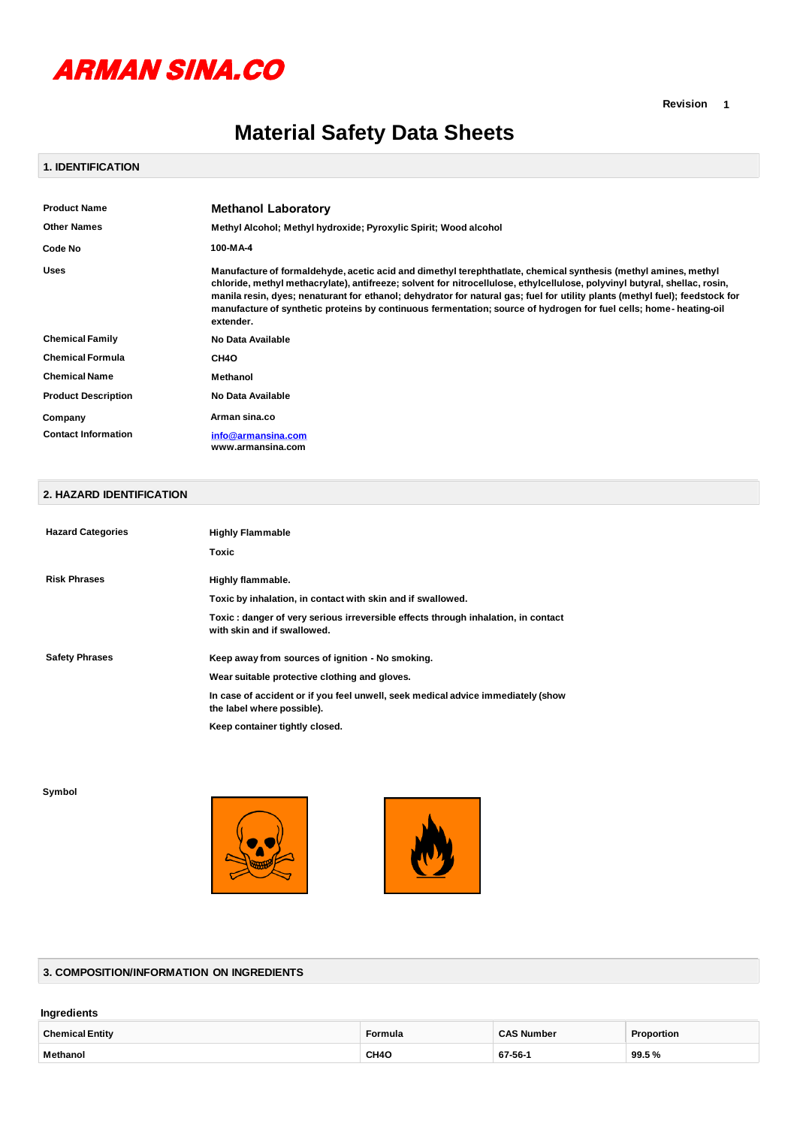

# **Material Safety Data Sheets**

#### **1. IDENTIFICATION**

| <b>Methanol Laboratory</b>                                                                                                                                                                                                                                                                                                                                                                                                                                                                                       |
|------------------------------------------------------------------------------------------------------------------------------------------------------------------------------------------------------------------------------------------------------------------------------------------------------------------------------------------------------------------------------------------------------------------------------------------------------------------------------------------------------------------|
| Methyl Alcohol; Methyl hydroxide; Pyroxylic Spirit; Wood alcohol                                                                                                                                                                                                                                                                                                                                                                                                                                                 |
| 100-MA-4                                                                                                                                                                                                                                                                                                                                                                                                                                                                                                         |
| Manufacture of formaldehyde, acetic acid and dimethyl terephthatlate, chemical synthesis (methyl amines, methyl<br>chloride, methyl methacrylate), antifreeze; solvent for nitrocellulose, ethylcellulose, polyvinyl butyral, shellac, rosin,<br>manila resin, dyes; nenaturant for ethanol; dehydrator for natural gas; fuel for utility plants (methyl fuel); feedstock for<br>manufacture of synthetic proteins by continuous fermentation; source of hydrogen for fuel cells; home- heating-oil<br>extender. |
| No Data Available                                                                                                                                                                                                                                                                                                                                                                                                                                                                                                |
| CH <sub>40</sub>                                                                                                                                                                                                                                                                                                                                                                                                                                                                                                 |
| <b>Methanol</b>                                                                                                                                                                                                                                                                                                                                                                                                                                                                                                  |
| No Data Available                                                                                                                                                                                                                                                                                                                                                                                                                                                                                                |
| Arman sina.co                                                                                                                                                                                                                                                                                                                                                                                                                                                                                                    |
| info@armansina.com<br>www.armansina.com                                                                                                                                                                                                                                                                                                                                                                                                                                                                          |
|                                                                                                                                                                                                                                                                                                                                                                                                                                                                                                                  |

# **2. HAZARD IDENTIFICATION**

| <b>Hazard Categories</b> | <b>Highly Flammable</b>                                                                                          |
|--------------------------|------------------------------------------------------------------------------------------------------------------|
|                          | Toxic                                                                                                            |
| <b>Risk Phrases</b>      | Highly flammable.                                                                                                |
|                          | Toxic by inhalation, in contact with skin and if swallowed.                                                      |
|                          | Toxic: danger of very serious irreversible effects through inhalation, in contact<br>with skin and if swallowed. |
| <b>Safety Phrases</b>    | Keep away from sources of ignition - No smoking.                                                                 |
|                          | Wear suitable protective clothing and gloves.                                                                    |
|                          | In case of accident or if you feel unwell, seek medical advice immediately (show<br>the label where possible).   |
|                          | Keep container tightly closed.                                                                                   |

**Symbol**





#### **3. COMPOSITION/INFORMATION ON INGREDIENTS**

## **Ingredients**

| <b>Chemical Entity</b> | Formula           | <b>CAS Number</b> | Proportion |
|------------------------|-------------------|-------------------|------------|
| Methanol               | CH <sub>4</sub> C | 67-56-            | 99.5%      |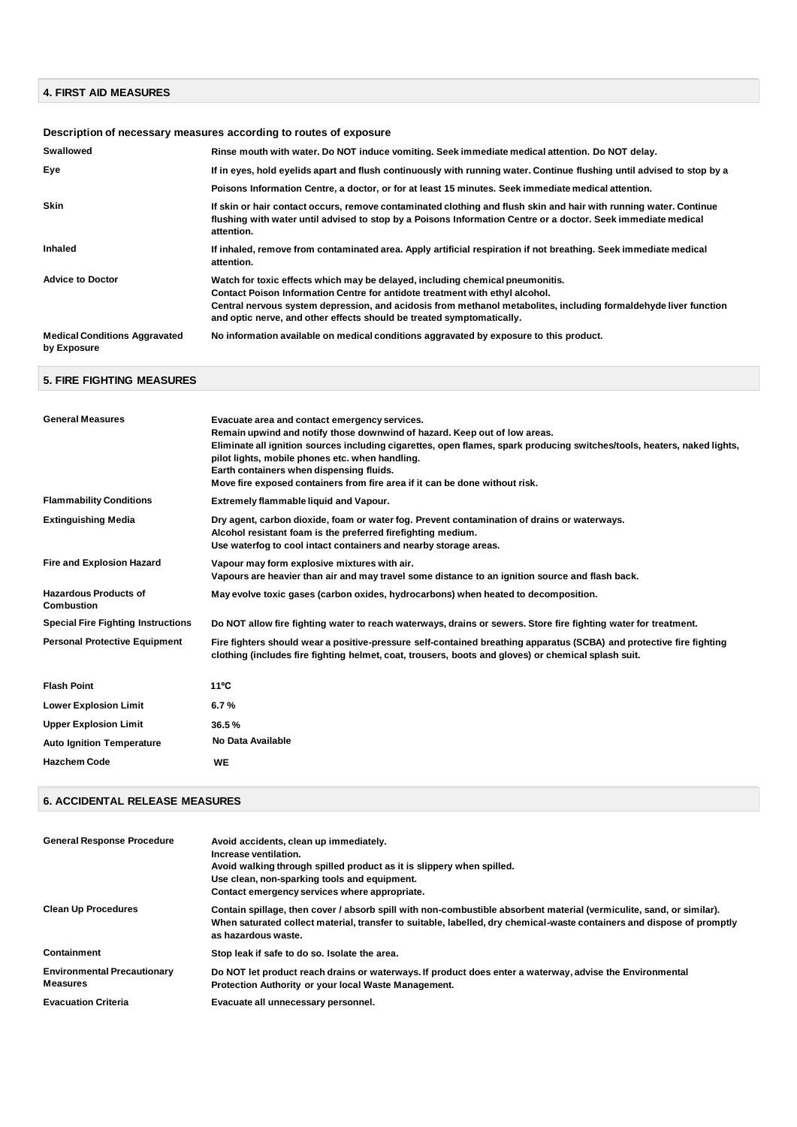## **4. FIRST AID MEASURES**

# **Description of necessary measures according to routes of exposure**

| <b>Swallowed</b>                                    | Rinse mouth with water. Do NOT induce vomiting. Seek immediate medical attention. Do NOT delay.                                                                                                                                                                                                                                                            |
|-----------------------------------------------------|------------------------------------------------------------------------------------------------------------------------------------------------------------------------------------------------------------------------------------------------------------------------------------------------------------------------------------------------------------|
| Eve                                                 | If in eyes, hold eyelids apart and flush continuously with running water. Continue flushing until advised to stop by a                                                                                                                                                                                                                                     |
|                                                     | Poisons Information Centre, a doctor, or for at least 15 minutes. Seek immediate medical attention.                                                                                                                                                                                                                                                        |
| <b>Skin</b>                                         | If skin or hair contact occurs, remove contaminated clothing and flush skin and hair with running water. Continue<br>flushing with water until advised to stop by a Poisons Information Centre or a doctor. Seek immediate medical<br>attention.                                                                                                           |
| Inhaled                                             | If inhaled, remove from contaminated area. Apply artificial respiration if not breathing. Seek immediate medical<br>attention.                                                                                                                                                                                                                             |
| <b>Advice to Doctor</b>                             | Watch for toxic effects which may be delayed, including chemical pneumonitis.<br>Contact Poison Information Centre for antidote treatment with ethyl alcohol.<br>Central nervous system depression, and acidosis from methanol metabolites, including formaldehyde liver function<br>and optic nerve, and other effects should be treated symptomatically. |
| <b>Medical Conditions Aggravated</b><br>by Exposure | No information available on medical conditions aggravated by exposure to this product.                                                                                                                                                                                                                                                                     |

# **5. FIRE FIGHTING MEASURES**

| <b>General Measures</b>                    | Evacuate area and contact emergency services.                                                                                                                                                                               |
|--------------------------------------------|-----------------------------------------------------------------------------------------------------------------------------------------------------------------------------------------------------------------------------|
|                                            | Remain upwind and notify those downwind of hazard. Keep out of low areas.<br>Eliminate all ignition sources including cigarettes, open flames, spark producing switches/tools, heaters, naked lights,                       |
|                                            | pilot lights, mobile phones etc. when handling.                                                                                                                                                                             |
|                                            | Earth containers when dispensing fluids.                                                                                                                                                                                    |
|                                            | Move fire exposed containers from fire area if it can be done without risk.                                                                                                                                                 |
| <b>Flammability Conditions</b>             | Extremely flammable liquid and Vapour.                                                                                                                                                                                      |
| <b>Extinguishing Media</b>                 | Dry agent, carbon dioxide, foam or water fog. Prevent contamination of drains or waterways.                                                                                                                                 |
|                                            | Alcohol resistant foam is the preferred firefighting medium.                                                                                                                                                                |
|                                            | Use waterfog to cool intact containers and nearby storage areas.                                                                                                                                                            |
| <b>Fire and Explosion Hazard</b>           | Vapour may form explosive mixtures with air.                                                                                                                                                                                |
|                                            | Vapours are heavier than air and may travel some distance to an ignition source and flash back.                                                                                                                             |
| Hazardous Products of<br><b>Combustion</b> | May evolve toxic gases (carbon oxides, hydrocarbons) when heated to decomposition.                                                                                                                                          |
| <b>Special Fire Fighting Instructions</b>  | Do NOT allow fire fighting water to reach waterways, drains or sewers. Store fire fighting water for treatment.                                                                                                             |
| <b>Personal Protective Equipment</b>       | Fire fighters should wear a positive-pressure self-contained breathing apparatus (SCBA) and protective fire fighting<br>clothing (includes fire fighting helmet, coat, trousers, boots and gloves) or chemical splash suit. |
| <b>Flash Point</b>                         | $11^{\circ}$ C                                                                                                                                                                                                              |
| <b>Lower Explosion Limit</b>               | 6.7%                                                                                                                                                                                                                        |
| <b>Upper Explosion Limit</b>               | 36.5%                                                                                                                                                                                                                       |
| <b>Auto Ignition Temperature</b>           | No Data Available                                                                                                                                                                                                           |
| <b>Hazchem Code</b>                        | <b>WE</b>                                                                                                                                                                                                                   |
|                                            |                                                                                                                                                                                                                             |

## **6. ACCIDENTAL RELEASE MEASURES**

| <b>General Response Procedure</b>                     | Avoid accidents, clean up immediately.<br>Increase ventilation.<br>Avoid walking through spilled product as it is slippery when spilled.<br>Use clean, non-sparking tools and equipment.<br>Contact emergency services where appropriate.                             |
|-------------------------------------------------------|-----------------------------------------------------------------------------------------------------------------------------------------------------------------------------------------------------------------------------------------------------------------------|
| <b>Clean Up Procedures</b>                            | Contain spillage, then cover / absorb spill with non-combustible absorbent material (vermiculite, sand, or similar).<br>When saturated collect material, transfer to suitable, labelled, dry chemical-waste containers and dispose of promptly<br>as hazardous waste. |
| Containment                                           | Stop leak if safe to do so. Isolate the area.                                                                                                                                                                                                                         |
| <b>Environmental Precautionary</b><br><b>Measures</b> | Do NOT let product reach drains or waterways. If product does enter a waterway, advise the Environmental<br>Protection Authority or your local Waste Management.                                                                                                      |
| <b>Evacuation Criteria</b>                            | Evacuate all unnecessary personnel.                                                                                                                                                                                                                                   |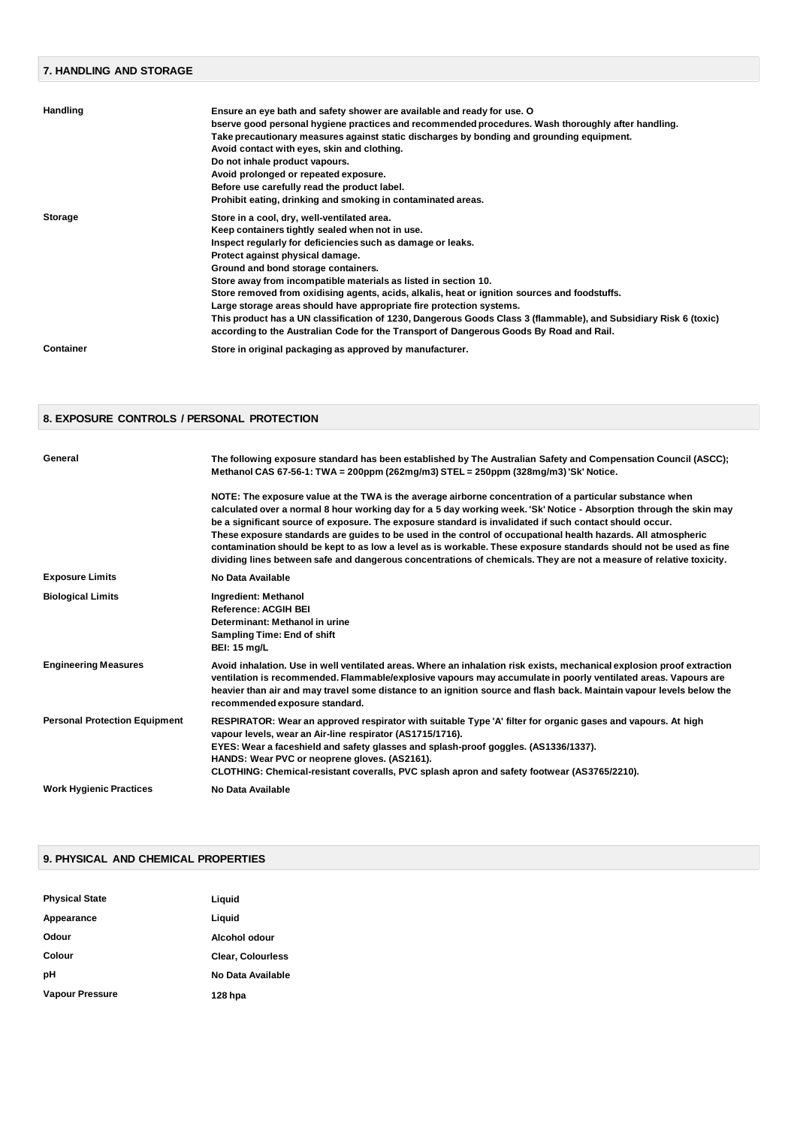## **7. HANDLING AND STORAGE Handling Ensure an eye bath and safety shower are available and ready for use. O bserve good personal hygiene practices and recommended procedures. Wash thoroughly after handling. Take precautionary measures against static discharges by bonding and grounding equipment. Avoid contact with eyes, skin and clothing. Do not inhale product vapours. Avoid prolonged or repeated exposure. Before use carefully read the product label. Prohibit eating, drinking and smoking in contaminated areas. Storage Store in a cool, dry, well-ventilated area. Keep containers tightly sealed when not in use. Inspect regularly for deficiencies such as damage or leaks. Protect against physical damage. Ground and bond storage containers. Store away from incompatible materials as listed in section 10. Store removed from oxidising agents, acids, alkalis, heat or ignition sources and foodstuffs. Large storage areas should have appropriate fire protection systems. This product has a UN classification of 1230, Dangerous Goods Class 3 (flammable), and Subsidiary Risk 6 (toxic) according to the Australian Code for the Transport of Dangerous Goods By Road and Rail. Container Store in original packaging as approved by manufacturer.**

#### **8. EXPOSURE CONTROLS / PERSONAL PROTECTION**

| General                              | The following exposure standard has been established by The Australian Safety and Compensation Council (ASCC);<br>Methanol CAS 67-56-1: TWA = 200ppm (262mg/m3) STEL = 250ppm (328mg/m3) 'Sk' Notice.                                                                                                                                                                                                                                                                                                                                                                                                                                                                                                    |
|--------------------------------------|----------------------------------------------------------------------------------------------------------------------------------------------------------------------------------------------------------------------------------------------------------------------------------------------------------------------------------------------------------------------------------------------------------------------------------------------------------------------------------------------------------------------------------------------------------------------------------------------------------------------------------------------------------------------------------------------------------|
|                                      | NOTE: The exposure value at the TWA is the average airborne concentration of a particular substance when<br>calculated over a normal 8 hour working day for a 5 day working week. 'Sk' Notice - Absorption through the skin may<br>be a significant source of exposure. The exposure standard is invalidated if such contact should occur.<br>These exposure standards are guides to be used in the control of occupational health hazards. All atmospheric<br>contamination should be kept to as low a level as is workable. These exposure standards should not be used as fine<br>dividing lines between safe and dangerous concentrations of chemicals. They are not a measure of relative toxicity. |
| <b>Exposure Limits</b>               | No Data Available                                                                                                                                                                                                                                                                                                                                                                                                                                                                                                                                                                                                                                                                                        |
| <b>Biological Limits</b>             | Ingredient: Methanol<br><b>Reference: ACGIH BEI</b><br>Determinant: Methanol in urine<br><b>Sampling Time: End of shift</b><br><b>BEI: 15 mg/L</b>                                                                                                                                                                                                                                                                                                                                                                                                                                                                                                                                                       |
| <b>Engineering Measures</b>          | Avoid inhalation. Use in well ventilated areas. Where an inhalation risk exists, mechanical explosion proof extraction<br>ventilation is recommended. Flammable/explosive vapours may accumulate in poorly ventilated areas. Vapours are<br>heavier than air and may travel some distance to an ignition source and flash back. Maintain vapour levels below the<br>recommended exposure standard.                                                                                                                                                                                                                                                                                                       |
| <b>Personal Protection Equipment</b> | RESPIRATOR: Wear an approved respirator with suitable Type 'A' filter for organic gases and vapours. At high<br>vapour levels, wear an Air-line respirator (AS1715/1716).<br>EYES: Wear a faceshield and safety glasses and splash-proof goggles. (AS1336/1337).<br>HANDS: Wear PVC or neoprene gloves. (AS2161).<br>CLOTHING: Chemical-resistant coveralls, PVC splash apron and safety footwear (AS3765/2210).                                                                                                                                                                                                                                                                                         |
| <b>Work Hygienic Practices</b>       | No Data Available                                                                                                                                                                                                                                                                                                                                                                                                                                                                                                                                                                                                                                                                                        |

#### **9. PHYSICAL AND CHEMICAL PROPERTIES**

| <b>Physical State</b>  | Liguid                   |
|------------------------|--------------------------|
| Appearance             | Liguid                   |
| Odour                  | Alcohol odour            |
| Colour                 | <b>Clear, Colourless</b> |
| рH                     | No Data Available        |
| <b>Vapour Pressure</b> | 128 hpa                  |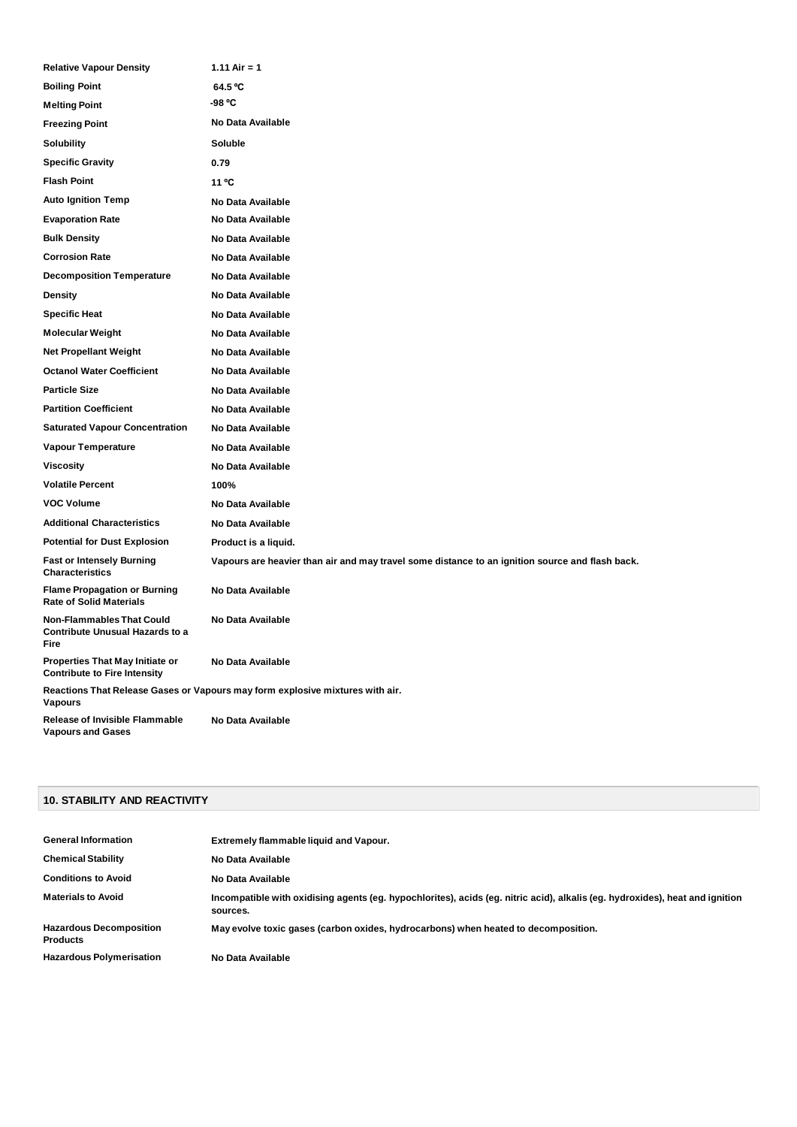| <b>Relative Vapour Density</b>                                                     | 1.11 Air = 1                                                                                    |
|------------------------------------------------------------------------------------|-------------------------------------------------------------------------------------------------|
| <b>Boiling Point</b>                                                               | 64.5 °C                                                                                         |
| <b>Melting Point</b>                                                               | -98 °C                                                                                          |
| <b>Freezing Point</b>                                                              | No Data Available                                                                               |
| <b>Solubility</b>                                                                  | Soluble                                                                                         |
| <b>Specific Gravity</b>                                                            | 0.79                                                                                            |
| <b>Flash Point</b>                                                                 | 11 °C                                                                                           |
| <b>Auto Ignition Temp</b>                                                          | No Data Available                                                                               |
| <b>Evaporation Rate</b>                                                            | No Data Available                                                                               |
| <b>Bulk Density</b>                                                                | No Data Available                                                                               |
| <b>Corrosion Rate</b>                                                              | No Data Available                                                                               |
| <b>Decomposition Temperature</b>                                                   | No Data Available                                                                               |
| <b>Density</b>                                                                     | No Data Available                                                                               |
| <b>Specific Heat</b>                                                               | No Data Available                                                                               |
| <b>Molecular Weight</b>                                                            | No Data Available                                                                               |
| <b>Net Propellant Weight</b>                                                       | No Data Available                                                                               |
| <b>Octanol Water Coefficient</b>                                                   | No Data Available                                                                               |
| <b>Particle Size</b>                                                               | No Data Available                                                                               |
| <b>Partition Coefficient</b>                                                       | No Data Available                                                                               |
| <b>Saturated Vapour Concentration</b>                                              | No Data Available                                                                               |
| Vapour Temperature                                                                 | No Data Available                                                                               |
| <b>Viscosity</b>                                                                   | No Data Available                                                                               |
| <b>Volatile Percent</b>                                                            | 100%                                                                                            |
| <b>VOC Volume</b>                                                                  | No Data Available                                                                               |
| <b>Additional Characteristics</b>                                                  | No Data Available                                                                               |
| <b>Potential for Dust Explosion</b>                                                | Product is a liquid.                                                                            |
| <b>Fast or Intensely Burning</b><br><b>Characteristics</b>                         | Vapours are heavier than air and may travel some distance to an ignition source and flash back. |
| <b>Flame Propagation or Burning</b><br><b>Rate of Solid Materials</b>              | No Data Available                                                                               |
| <b>Non-Flammables That Could</b><br><b>Contribute Unusual Hazards to a</b><br>Fire | No Data Available                                                                               |
| Properties That May Initiate or<br><b>Contribute to Fire Intensity</b>             | No Data Available                                                                               |
| <b>Vapours</b>                                                                     | Reactions That Release Gases or Vapours may form explosive mixtures with air.                   |
| <b>Release of Invisible Flammable</b><br><b>Vapours and Gases</b>                  | No Data Available                                                                               |

## **10. STABILITY AND REACTIVITY**

| <b>General Information</b>                        | Extremely flammable liquid and Vapour.                                                                                                   |
|---------------------------------------------------|------------------------------------------------------------------------------------------------------------------------------------------|
| <b>Chemical Stability</b>                         | No Data Available                                                                                                                        |
| <b>Conditions to Avoid</b>                        | No Data Available                                                                                                                        |
| <b>Materials to Avoid</b>                         | Incompatible with oxidising agents (eg. hypochlorites), acids (eg. nitric acid), alkalis (eg. hydroxides), heat and ignition<br>sources. |
| <b>Hazardous Decomposition</b><br><b>Products</b> | May evolve toxic gases (carbon oxides, hydrocarbons) when heated to decomposition.                                                       |
| <b>Hazardous Polymerisation</b>                   | No Data Available                                                                                                                        |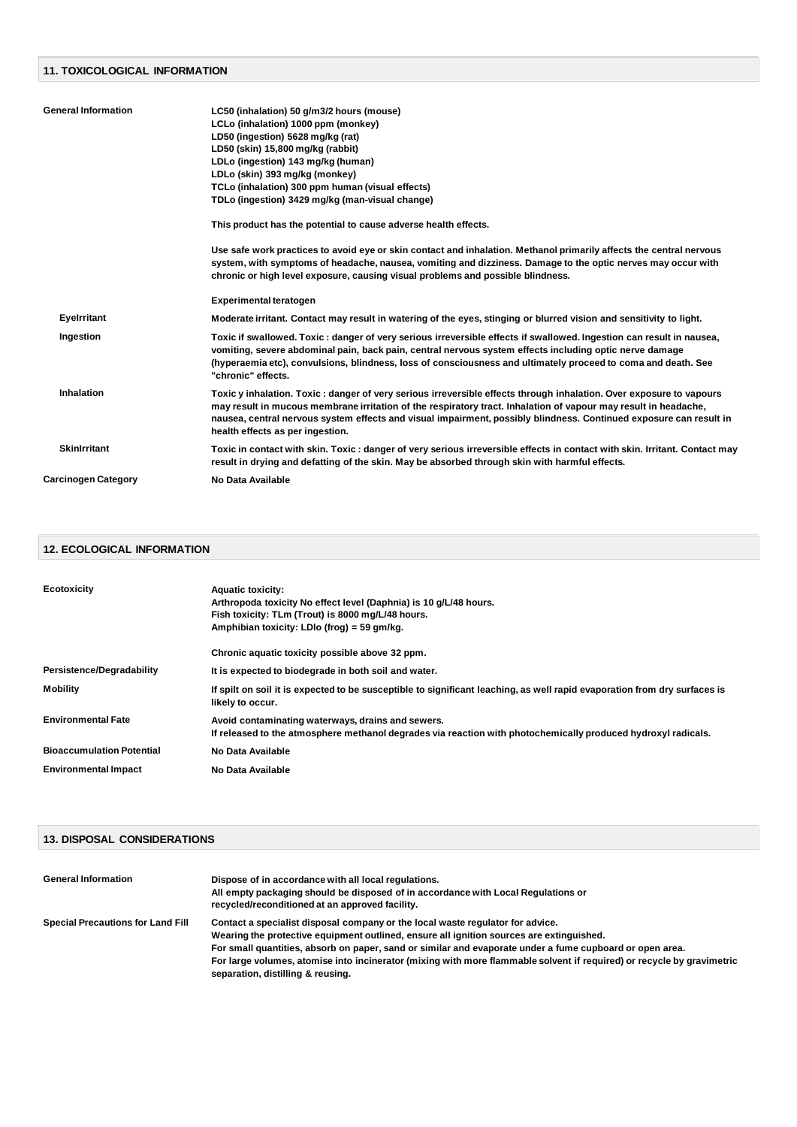#### **11. TOXICOLOGICAL INFORMATION**

| <b>General Information</b> | LC50 (inhalation) 50 g/m3/2 hours (mouse)                                                                                                                                                                                                                                                                                                                                                         |
|----------------------------|---------------------------------------------------------------------------------------------------------------------------------------------------------------------------------------------------------------------------------------------------------------------------------------------------------------------------------------------------------------------------------------------------|
|                            | LCLo (inhalation) 1000 ppm (monkey)                                                                                                                                                                                                                                                                                                                                                               |
|                            | LD50 (ingestion) 5628 mg/kg (rat)                                                                                                                                                                                                                                                                                                                                                                 |
|                            | LD50 (skin) 15,800 mg/kg (rabbit)                                                                                                                                                                                                                                                                                                                                                                 |
|                            | LDLo (ingestion) 143 mg/kg (human)                                                                                                                                                                                                                                                                                                                                                                |
|                            | LDLo (skin) 393 mg/kg (monkey)                                                                                                                                                                                                                                                                                                                                                                    |
|                            | TCLo (inhalation) 300 ppm human (visual effects)                                                                                                                                                                                                                                                                                                                                                  |
|                            | TDLo (ingestion) 3429 mg/kg (man-visual change)                                                                                                                                                                                                                                                                                                                                                   |
|                            | This product has the potential to cause adverse health effects.                                                                                                                                                                                                                                                                                                                                   |
|                            | Use safe work practices to avoid eye or skin contact and inhalation. Methanol primarily affects the central nervous<br>system, with symptoms of headache, nausea, vomiting and dizziness. Damage to the optic nerves may occur with<br>chronic or high level exposure, causing visual problems and possible blindness.                                                                            |
|                            | <b>Experimental teratogen</b>                                                                                                                                                                                                                                                                                                                                                                     |
| <b>Eyelrritant</b>         | Moderate irritant. Contact may result in watering of the eyes, stinging or blurred vision and sensitivity to light.                                                                                                                                                                                                                                                                               |
| Ingestion                  | Toxic if swallowed. Toxic : danger of very serious irreversible effects if swallowed. Ingestion can result in nausea,<br>vomiting, severe abdominal pain, back pain, central nervous system effects including optic nerve damage<br>(hyperaemia etc), convulsions, blindness, loss of consciousness and ultimately proceed to coma and death. See<br>"chronic" effects.                           |
| <b>Inhalation</b>          | Toxic y inhalation. Toxic : danger of very serious irreversible effects through inhalation. Over exposure to vapours<br>may result in mucous membrane irritation of the respiratory tract. Inhalation of vapour may result in headache,<br>nausea, central nervous system effects and visual impairment, possibly blindness. Continued exposure can result in<br>health effects as per ingestion. |
| <b>Skinlrritant</b>        | Toxic in contact with skin. Toxic: danger of very serious irreversible effects in contact with skin. Irritant. Contact may<br>result in drying and defatting of the skin. May be absorbed through skin with harmful effects.                                                                                                                                                                      |
| <b>Carcinogen Category</b> | No Data Available                                                                                                                                                                                                                                                                                                                                                                                 |
|                            |                                                                                                                                                                                                                                                                                                                                                                                                   |

## **12. ECOLOGICAL INFORMATION**

| Ecotoxicity                      | <b>Aquatic toxicity:</b><br>Arthropoda toxicity No effect level (Daphnia) is 10 g/L/48 hours.<br>Fish toxicity: TLm (Trout) is 8000 mg/L/48 hours.<br>Amphibian toxicity: LDIo (frog) = 59 gm/kg. |
|----------------------------------|---------------------------------------------------------------------------------------------------------------------------------------------------------------------------------------------------|
|                                  | Chronic aquatic toxicity possible above 32 ppm.                                                                                                                                                   |
| <b>Persistence/Degradability</b> | It is expected to biodegrade in both soil and water.                                                                                                                                              |
| <b>Mobility</b>                  | If spilt on soil it is expected to be susceptible to significant leaching, as well rapid evaporation from dry surfaces is<br>likely to occur.                                                     |
| <b>Environmental Fate</b>        | Avoid contaminating waterways, drains and sewers.<br>If released to the atmosphere methanol degrades via reaction with photochemically produced hydroxyl radicals.                                |
| <b>Bioaccumulation Potential</b> | No Data Available                                                                                                                                                                                 |
| <b>Environmental Impact</b>      | No Data Available                                                                                                                                                                                 |

## **13. DISPOSAL CONSIDERATIONS**

| <b>General Information</b>               | Dispose of in accordance with all local regulations.<br>All empty packaging should be disposed of in accordance with Local Regulations or<br>recycled/reconditioned at an approved facility.                                                                                                                                                                                                                                                          |
|------------------------------------------|-------------------------------------------------------------------------------------------------------------------------------------------------------------------------------------------------------------------------------------------------------------------------------------------------------------------------------------------------------------------------------------------------------------------------------------------------------|
| <b>Special Precautions for Land Fill</b> | Contact a specialist disposal company or the local waste regulator for advice.<br>Wearing the protective equipment outlined, ensure all ignition sources are extinguished.<br>For small quantities, absorb on paper, sand or similar and evaporate under a fume cupboard or open area.<br>For large volumes, atomise into incinerator (mixing with more flammable solvent if required) or recycle by gravimetric<br>separation, distilling & reusing. |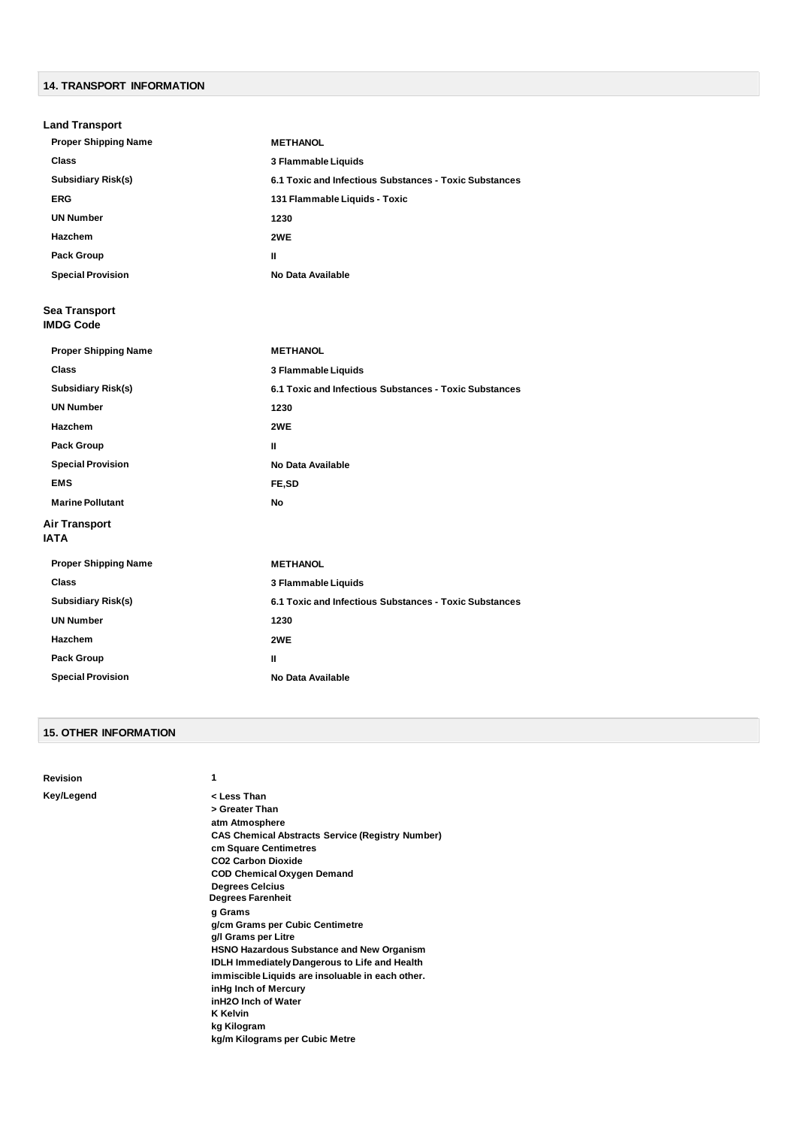# **14. TRANSPORT INFORMATION**

| <b>Land Transport</b>               |                                                        |
|-------------------------------------|--------------------------------------------------------|
| <b>Proper Shipping Name</b>         | <b>METHANOL</b>                                        |
| <b>Class</b>                        | 3 Flammable Liquids                                    |
| <b>Subsidiary Risk(s)</b>           | 6.1 Toxic and Infectious Substances - Toxic Substances |
| <b>ERG</b>                          | 131 Flammable Liquids - Toxic                          |
| <b>UN Number</b>                    | 1230                                                   |
| <b>Hazchem</b>                      | 2WE                                                    |
| <b>Pack Group</b>                   | Ш                                                      |
| <b>Special Provision</b>            | No Data Available                                      |
| Sea Transport<br><b>IMDG Code</b>   |                                                        |
| <b>Proper Shipping Name</b>         | <b>METHANOL</b>                                        |
| <b>Class</b>                        | 3 Flammable Liquids                                    |
| <b>Subsidiary Risk(s)</b>           | 6.1 Toxic and Infectious Substances - Toxic Substances |
| <b>UN Number</b>                    | 1230                                                   |
| <b>Hazchem</b>                      | 2WE                                                    |
| <b>Pack Group</b>                   | Ш                                                      |
| <b>Special Provision</b>            | <b>No Data Available</b>                               |
| <b>EMS</b>                          | FE,SD                                                  |
| <b>Marine Pollutant</b>             | No                                                     |
| <b>Air Transport</b><br><b>IATA</b> |                                                        |
| <b>Proper Shipping Name</b>         | <b>METHANOL</b>                                        |
| <b>Class</b>                        | 3 Flammable Liquids                                    |
| <b>Subsidiary Risk(s)</b>           | 6.1 Toxic and Infectious Substances - Toxic Substances |
| <b>UN Number</b>                    | 1230                                                   |
| Hazchem                             | 2WE                                                    |
| <b>Pack Group</b>                   | Ш                                                      |
| <b>Special Provision</b>            | <b>No Data Available</b>                               |

#### **15. OTHER INFORMATION**

| Key/Legend<br>< Less Than                                                                                                                                                                                                                                                                                                                                                                                                                                                                                                                                                                                              |  |
|------------------------------------------------------------------------------------------------------------------------------------------------------------------------------------------------------------------------------------------------------------------------------------------------------------------------------------------------------------------------------------------------------------------------------------------------------------------------------------------------------------------------------------------------------------------------------------------------------------------------|--|
| > Greater Than<br>atm Atmosphere<br><b>CAS Chemical Abstracts Service (Registry Number)</b><br>cm Square Centimetres<br>CO <sub>2</sub> Carbon Dioxide<br><b>COD Chemical Oxygen Demand</b><br><b>Degrees Celcius</b><br><b>Degrees Farenheit</b><br>g Grams<br>g/cm Grams per Cubic Centimetre<br>g/I Grams per Litre<br><b>HSNO Hazardous Substance and New Organism</b><br><b>IDLH Immediately Dangerous to Life and Health</b><br>immiscible Liquids are insoluable in each other.<br>inHg Inch of Mercury<br>inH <sub>2</sub> O Inch of Water<br><b>K</b> Kelvin<br>kg Kilogram<br>kg/m Kilograms per Cubic Metre |  |